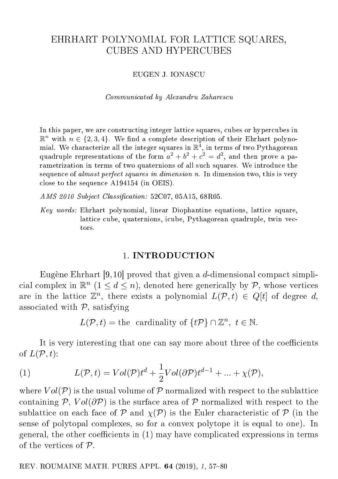# EHRHART POLYNOMIAL FOR LATTICE SQUARES, CUBES AND HYPERCUBES

#### EUGEN J. IONASCU

Communicated by Alexandru Zaharescu

In this paper, we are constructing integer lattice squares, cubes or hypercubes in  $\mathbb{R}^n$  with  $n \in \{2, 3, 4\}$ . We find a complete description of their Ehrhart polynomial. We characterize all the integer squares in  $\mathbb{R}^4,$  in terms of two <code>Pythagorean</code> quadruple representations of the form  $a^2 + b^2 + c^2 = d^2$ , and then prove a parametrization in terms of two quaternions of all such squares. We introduce the sequence of almost perfect squares in dimension n. In dimension two, this is very close to the sequence A194154 (in OEIS).

 $AMS 2010 Subject Classification: 52C07, 05A15, 68R05.$ 

Key words: Ehrhart polynomial, linear Diophantine equations, lattice square, lattice cube, quaternions, icube, Pythagorean quadruple, twin vectors.

### 1. INTRODUCTION

Eugène Ehrhart [9,10] proved that given a d-dimensional compact simplicial complex in  $\mathbb{R}^n$   $(1 \leq d \leq n)$ , denoted here generically by  $\mathcal{P}$ , whose vertices are in the lattice  $\mathbb{Z}^n$ , there exists a polynomial  $L(\mathcal{P}, t) \in Q[t]$  of degree d, associated with  $P$ , satisfying

 $L(\mathcal{P}, t) = \text{the cardinality of } \{t\mathcal{P}\}\cap \mathbb{Z}^n, t \in \mathbb{N}.$ 

It is very interesting that one can say more about three of the coefficients of  $L(\mathcal{P}, t)$ :

(1) 
$$
L(\mathcal{P}, t) = Vol(\mathcal{P})t^{d} + \frac{1}{2} Vol(\partial \mathcal{P})t^{d-1} + ... + \chi(\mathcal{P}),
$$

where  $Vol(\mathcal{P})$  is the usual volume of  $\mathcal P$  normalized with respect to the sublattice containing P,  $Vol(\partial P)$  is the surface area of P normalized with respect to the sublattice on each face of  $\mathcal P$  and  $\chi(\mathcal P)$  is the Euler characteristic of  $\mathcal P$  (in the sense of polytopal complexes, so for a convex polytope it is equal to one). In general, the other coefficients in  $(1)$  may have complicated expressions in terms of the vertices of P.

REV. ROUMAINE MATH. PURES APPL.  $64$  (2019), 1, 57-80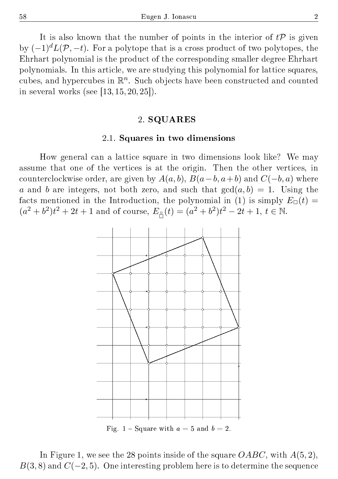It is also known that the number of points in the interior of  $t\mathcal{P}$  is given by  $(-1)^d L(\mathcal{P}, -t)$ . For a polytope that is a cross product of two polytopes, the Ehrhart polynomial is the product of the corresponding smaller degree Ehrhart polynomials. In this article, we are studying this polynomial for lattice squares, cubes, and hypercubes in  $\mathbb{R}^n$ . Such objects have been constructed and counted in several works (see  $[13, 15, 20, 25]$ ).

## 2. SQUARES

## 2.1. Squares in two dimensions

How general can a lattice square in two dimensions look like? We may assume that one of the vertices is at the origin. Then the other vertices, in counterclockwise order, are given by  $A(a, b), B(a - b, a + b)$  and  $C(-b, a)$  where a and b are integers, not both zero, and such that  $gcd(a, b) = 1$ . Using the facts mentioned in the Introduction, the polynomial in (1) is simply  $E_{\Box}(t)$  =  $(a^2 + b^2)t^2 + 2t + 1$  and of course,  $E_{\hat{\Box}}(t) = (a^2 + b^2)t^2 - 2t + 1, t \in \mathbb{N}$ .



In Figure 1, we see the 28 points inside of the square  $OABC$ , with  $A(5,2)$ ,  $B(3, 8)$  and  $C(-2, 5)$ . One interesting problem here is to determine the sequence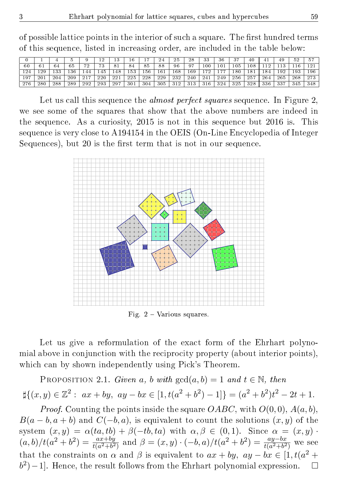of possible lattice points in the interior of such a square. The first hundred terms of this sequence, listed in increasing order, are included in the table below:

|                  |          |     |     |     | --  | 13  | 16  |     | 24  | 25               | 28        | 33      | 36    | 37  | 40  | л   | 49  | 52  |     |
|------------------|----------|-----|-----|-----|-----|-----|-----|-----|-----|------------------|-----------|---------|-------|-----|-----|-----|-----|-----|-----|
| 60               |          | 64  | 65  | m o | 79  | 81  | 84  | 85  | 88  | 96               | 07        | $_{00}$ | 101   | 105 | 108 |     |     |     |     |
| $\overline{124}$ | 20       | 122 | 136 |     | 145 | 148 | 153 | 156 | 161 | $\overline{168}$ | 169       | 70      | $-77$ | 180 | 181 | 184 | 192 | 193 | 196 |
| 197              | 201      | 204 | 209 | 217 | 220 | 221 | 225 | 228 | 229 | 232              | 240       | 241     | 249   | 256 | 257 | 264 | 265 | 268 | 273 |
| 276              | $^{280}$ | 288 | 289 | 292 | 293 | 297 | 301 | 304 | 305 | 210              | 21<br>◡⊥◡ | 316     | 324   | 325 | 328 | 336 | 337 | 345 | 348 |

Let us call this sequence the *almost perfect squares* sequence. In Figure 2, we see some of the squares that show that the above numbers are indeed in the sequence. As a curiosity, 2015 is not in this sequence but 2016 is. This sequence is very close to A194154 in the OEIS (On-Line Encyclopedia of Integer Sequences), but 20 is the first term that is not in our sequence.



Fig.  $2$  – Various squares.

Let us give a reformulation of the exact form of the Ehrhart polynomial above in conjunction with the reciprocity property (about interior points), which can by shown independently using Pick's Theorem.

PROPOSITION 2.1. Given a, b with  $gcd(a, b) = 1$  and  $t \in \mathbb{N}$ , then  $\sharp\{(x,y)\in\mathbb{Z}^2:\ ax+by,\ ay-bx\in[1,t(a^2+b^2)-1]\}=(a^2+b^2)t^2-2t+1.$ 

*Proof.* Counting the points inside the square  $OABC$ , with  $O(0,0)$ ,  $A(a, b)$ ,  $B(a - b, a + b)$  and  $C(-b, a)$ , is equivalent to count the solutions  $(x, y)$  of the system  $(x, y) = \alpha(ta, tb) + \beta(-tb, ta)$  with  $\alpha, \beta \in (0, 1)$ . Since  $\alpha = (x, y)$ .  $(a, b)/t(a^2 + b^2) = \frac{ax + by}{t(a^2 + b^2)}$  and  $\beta = (x, y) \cdot (-b, a)/t(a^2 + b^2) = \frac{ay - bx}{t(a^2 + b^2)}$  we see that the constraints on  $\alpha$  and  $\beta$  is equivalent to  $ax + by$ ,  $ay - bx \in [1, t(a^2 +$  $(b^2) - 1$ . Hence, the result follows from the Ehrhart polynomial expression.  $\square$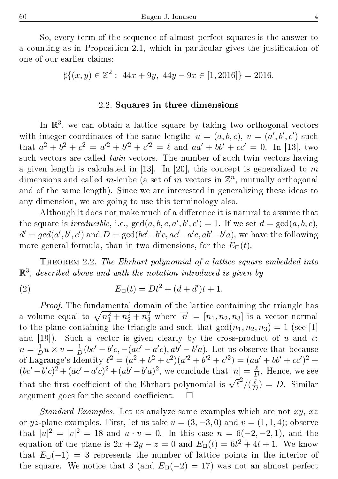So, every term of the sequence of almost perfect squares is the answer to a counting as in Proposition 2.1, which in particular gives the justification of one of our earlier claims:

 $\sharp \{(x, y) \in \mathbb{Z}^2 : 44x + 9y, 44y - 9x \in [1, 2016] \} = 2016.$ 

#### 2.2. Squares in three dimensions

In  $\mathbb{R}^3$ , we can obtain a lattice square by taking two orthogonal vectors with integer coordinates of the same length:  $u = (a, b, c), v = (a', b', c')$  such that  $a^2 + b^2 + c^2 = a'^2 + b'^2 + c'^2 = \ell$  and  $aa' + bb' + cc' = 0$ . In [13], two such vectors are called *twin* vectors. The number of such twin vectors having a given length is calculated in [13]. In [20], this concept is generalized to  $m$ dimensions and called m-icube (a set of  $m$  vectors in  $\mathbb{Z}^n$ , mutually orthogonal and of the same length). Since we are interested in generalizing these ideas to any dimension, we are going to use this terminology also.

Although it does not make much of a difference it is natural to assume that the square is *irreducible*, i.e.,  $gcd(a, b, c, a', b', c') = 1$ . If we set  $d = gcd(a, b, c)$ ,  $d' = gcd(a', b', c')$  and  $D = gcd(bc' - b'c, ac' - a'c, ab' - b'a)$ , we have the following more general formula, than in two dimensions, for the  $E_{\Box}(t)$ .

Theorem 2.2. The Ehrhart polynomial of a lattice square embedded into  $\mathbb{R}^3$ , described above and with the notation introduced is given by

(2) 
$$
E_{\Box}(t) = Dt^2 + (d + d')t + 1.
$$

Proof. The fundamental domain of the lattice containing the triangle has a volume equal to  $\sqrt{n_1^2 + n_2^2 + n_3^2}$  where  $\vec{n} = [n_1, n_2, n_3]$  is a vector normal to the plane containing the triangle and such that  $gcd(n_1, n_2, n_3) = 1$  (see [1] and  $[19]$ ). Such a vector is given clearly by the cross-product of u and v:  $n=\frac{1}{\sqrt{r}}$  $\frac{1}{D}u \times v = \frac{1}{L}$  $\frac{1}{D}(bc'-b'c,-(ac'-a'c),ab'-b'a)$ . Let us observe that because of Lagrange's Identity  $\ell^2 = (a^2 + b^2 + c^2)(a'^2 + b'^2 + c'^2) = (aa' + bb' + cc')^2 +$  $(bc'-b'c)^2 + (ac'-a'c)^2 + (ab'-b'a)^2$ , we conclude that  $|n| = \frac{\ell}{L}$  $\frac{\ell}{D}$ . Hence, we see that the first coefficient of the Ehrhart polynomial is  $\sqrt{\ell^2}/(\frac{\ell}{\ell})$  $\frac{\ell}{D}$ ) = D. Similar argument goes for the second coefficient.  $\square$ 

*Standard Examples.* Let us analyze some examples which are not  $xy, xz$ or yz-plane examples. First, let us take  $u = (3, -3, 0)$  and  $v = (1, 1, 4)$ ; observe that  $|u|^2 = |v|^2 = 18$  and  $u \cdot v = 0$ . In this case  $n = 6(-2, -2, 1)$ , and the equation of the plane is  $2x + 2y - z = 0$  and  $E_{\Box}(t) = 6t^2 + 4t + 1$ . We know that  $E_{\Box}(-1) = 3$  represents the number of lattice points in the interior of the square. We notice that 3 (and  $E_{\Box}(-2) = 17$ ) was not an almost perfect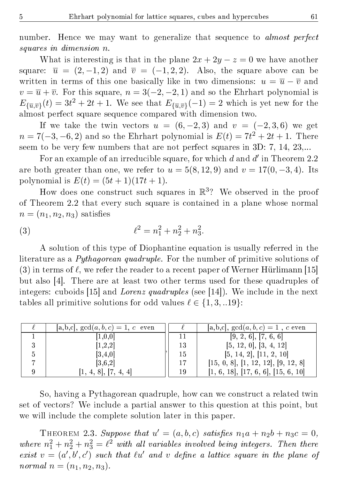number. Hence we may want to generalize that sequence to *almost perfect* squares in dimension n.

What is interesting is that in the plane  $2x + 2y - z = 0$  we have another square:  $\overline{u} = (2, -1, 2)$  and  $\overline{v} = (-1, 2, 2)$ . Also, the square above can be written in terms of this one basically like in two dimensions:  $u = \overline{u} - \overline{v}$  and  $v = \overline{u} + \overline{v}$ . For this square,  $n = 3(-2, -2, 1)$  and so the Ehrhart polynomial is  $E_{\{\overline{u},\overline{v}\}}(t) = 3t^2 + 2t + 1$ . We see that  $E_{\{\overline{u},\overline{v}\}}(-1) = 2$  which is yet new for the almost perfect square sequence compared with dimension two.

If we take the twin vectors  $u = (6, -2, 3)$  and  $v = (-2, 3, 6)$  we get  $n = 7(-3, -6, 2)$  and so the Ehrhart polynomial is  $E(t) = 7t^2 + 2t + 1$ . There seem to be very few numbers that are not perfect squares in 3D: 7, 14, 23,...

For an example of an irreducible square, for which  $d$  and  $d'$  in Theorem 2.2 are both greater than one, we refer to  $u = 5(8, 12, 9)$  and  $v = 17(0, -3, 4)$ . Its polynomial is  $E(t) = (5t + 1)(17t + 1)$ .

How does one construct such squares in  $\mathbb{R}^3$ ? We observed in the proof of Theorem 2.2 that every such square is contained in a plane whose normal  $n = (n_1, n_2, n_3)$  satisfies

(3) 
$$
\ell^2 = n_1^2 + n_2^2 + n_3^2.
$$

A solution of this type of Diophantine equation is usually referred in the literature as a *Pythagorean quadruple*. For the number of primitive solutions of (3) in terms of  $\ell$ , we refer the reader to a recent paper of Werner Hürlimann [15] but also [4]. There are at least two other terms used for these quadruples of integers: cuboids [15] and Lorenz quadruples (see [14]). We include in the next tables all primitive solutions for odd values  $\ell \in \{1, 3, ...19\}$ :

|   | $[a, b, c]$ , $gcd(a, b, c) = 1$ , c even |    | [a,b,c], $gcd(a, b, c) = 1$ , c even |
|---|-------------------------------------------|----|--------------------------------------|
|   | 1,0,0                                     |    | [9, 2, 6], [7, 6, 6]                 |
|   | [1, 2, 2]                                 | 13 | [5, 12, 0], [3, 4, 12]               |
| 5 | [3, 4, 0]                                 | 15 | [5, 14, 2], [11, 2, 10]              |
|   | [3,6,2]                                   |    | [15, 0, 8], [1, 12, 12], [9, 12, 8]  |
|   | [1, 4, 8], [7, 4, 4]                      | 19 | [1, 6, 18], [17, 6, 6], [15, 6, 10]  |

So, having a Pythagorean quadruple, how can we construct a related twin set of vectors? We include a partial answer to this question at this point, but we will include the complete solution later in this paper.

THEOREM 2.3. Suppose that  $u' = (a, b, c)$  satisfies  $n_1a + n_2b + n_3c = 0$ , where  $n_1^2 + n_2^2 + n_3^2 = \ell^2$  with all variables involved being integers. Then there exist  $v = (a', b', c')$  such that  $\ell u'$  and v define a lattice square in the plane of normal  $n = (n_1, n_2, n_3)$ .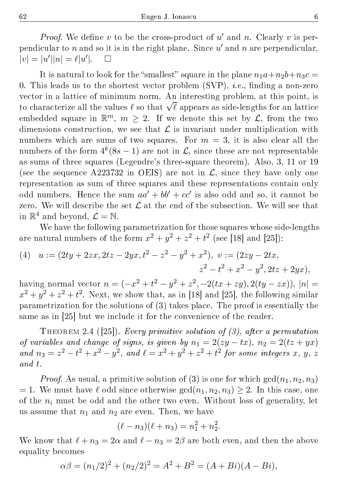*Proof.* We define  $v$  to be the cross-product of  $u'$  and  $n$ . Clearly  $v$  is perpendicular to  $n$  and so it is in the right plane. Since  $u'$  and  $n$  are perpendicular,  $|v| = |u'||n| = \ell |u'|$  $\Box$ 

It is natural to look for the "smallest" square in the plane  $n_1a+n_2b+n_3c =$ 0. This leads us to the shortest vector problem  $(SVP)$ , *i.e.*, finding a non-zero vector in a lattice of minimum norm. An interesting problem, at this point, is vector in a lattice of minimum norm. An interesting problem, at this point, is<br>to characterize all the values  $\ell$  so that  $\sqrt{\ell}$  appears as side-lengths for an lattice embedded square in  $\mathbb{R}^m$ ,  $m \geq 2$ . If we denote this set by  $\mathcal{L}$ , from the two dimensions construction, we see that  $\mathcal L$  is invariant under multiplication with numbers which are sums of two squares. For  $m = 3$ , it is also clear all the numbers of the form  $4^k(8s - 1)$  are not in  $\mathcal{L},$  since these are not representable as sums of three squares (Legendre's three-square theorem). Also, 3, 11 or 19 (see the sequence A223732 in OEIS) are not in  $\mathcal{L}$ , since they have only one representation as sum of three squares and these representations contain only odd numbers. Hence the sum  $aa' + bb' + cc'$  is also odd and so, it cannot be zero. We will describe the set  $\mathcal L$  at the end of the subsection. We will see that in  $\mathbb{R}^4$  and beyond,  $\mathcal{L} = \mathbb{N}$ .

We have the following parametrization for those squares whose side-lengths are natural numbers of the form  $x^2 + y^2 + z^2 + t^2$  (see [18] and [25]):

(4) 
$$
u := (2ty + 2zx, 2tz - 2yx, t^2 - z^2 - y^2 + x^2), v := (2zy - 2tx, z^2 - t^2 + x^2 - y^2, 2tz + 2yx),
$$

having normal vector  $n = (-x^2 + t^2 - y^2 + z^2, -2(tx + zy), 2(ty - zx)), |n|$  $x^2 + y^2 + z^2 + t^2$ . Next, we show that, as in [18] and [25], the following similar parametrization for the solutions of (3) takes place. The proof is essentially the same as in [25] but we include it for the convenience of the reader.

THEOREM 2.4 ([25]). Every primitive solution of  $(3)$ , after a permutation of variables and change of signs, is given by  $n_1 = 2(zy - tx)$ ,  $n_2 = 2(tz + yx)$ and  $n_3 = z^2 - t^2 + x^2 - y^2$ , and  $\ell = x^2 + y^2 + z^2 + t^2$  for some integers x, y, z and t.

*Proof.* As usual, a primitive solution of (3) is one for which  $gcd(n_1, n_2, n_3)$  $= 1$ . We must have  $\ell$  odd since otherwise  $gcd(n_1, n_2, n_3) \geq 2$ . In this case, one of the  $n_i$  must be odd and the other two even. Without loss of generality, let us assume that  $n_1$  and  $n_2$  are even. Then, we have

$$
(\ell - n_3)(\ell + n_3) = n_1^2 + n_2^2.
$$

We know that  $\ell + n_3 = 2\alpha$  and  $\ell - n_3 = 2\beta$  are both even, and then the above equality becomes

$$
\alpha \beta = (n_1/2)^2 + (n_2/2)^2 = A^2 + B^2 = (A + Bi)(A - Bi),
$$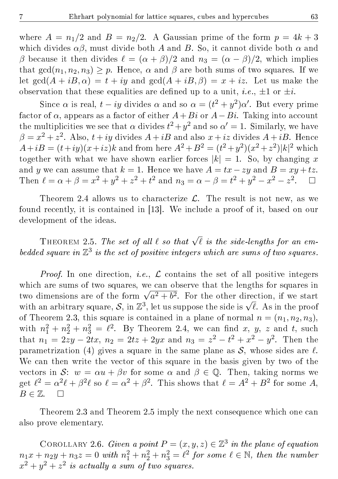where  $A = n_1/2$  and  $B = n_2/2$ . A Gaussian prime of the form  $p = 4k + 3$ which divides  $\alpha\beta$ , must divide both A and B. So, it cannot divide both  $\alpha$  and β because it then divides  $\ell = (\alpha + \beta)/2$  and  $n_3 = (\alpha - \beta)/2$ , which implies that  $gcd(n_1, n_2, n_3) \geq p$ . Hence,  $\alpha$  and  $\beta$  are both sums of two squares. If we let  $gcd(A + iB, \alpha) = t + iy$  and  $gcd(A + iB, \beta) = x + iz$ . Let us make the observation that these equalities are defined up to a unit, *i.e.*,  $\pm 1$  or  $\pm i$ .

Since  $\alpha$  is real,  $t - iy$  divides  $\alpha$  and so  $\alpha = (t^2 + y^2)\alpha'$ . But every prime factor of  $\alpha$ , appears as a factor of either  $A+Bi$  or  $A-Bi$ . Taking into account the multiplicities we see that  $\alpha$  divides  $t^2 + y^2$  and so  $\alpha' = 1$ . Similarly, we have  $\beta = x^2 + z^2$ . Also,  $t + iy$  divides  $A + iB$  and also  $x + iz$  divides  $A + iB$ . Hence  $A + iB = (t + iy)(x + iz)k$  and from here  $A^2 + B^2 = (t^2 + y^2)(x^2 + z^2)|k|^2$  which together with what we have shown earlier forces  $|k| = 1$ . So, by changing x and y we can assume that  $k = 1$ . Hence we have  $A = tx - zu$  and  $B = xu + tz$ . Then  $\ell = \alpha + \beta = x^2 + y^2 + z^2 + t^2$  and  $n_3 = \alpha - \beta = t^2 + y^2 - x^2 - z^2$  $\Box$ 

Theorem 2.4 allows us to characterize  $\mathcal{L}$ . The result is not new, as we found recently, it is contained in [13]. We include a proof of it, based on our development of the ideas.

THEOREM 2.5. The set of all  $\ell$  so that  $\sqrt{\ell}$  is the side-lengths for an embedded square in  $\mathbb{Z}^3$  is the set of positive integers which are sums of two squares.

*Proof.* In one direction, *i.e.*,  $\mathcal{L}$  contains the set of all positive integers which are sums of two squares, we can observe that the lengths for squares in which are sums of two squares, we can observe that the lengths for squares in<br>two dimensions are of the form  $\sqrt{a^2 + b^2}$ . For the other direction, if we start two dimensions are of the form  $\sqrt{a^2 + b^2}$ . For the other direction, if we start<br>with an arbitrary square, S, in  $\mathbb{Z}^3$ , let us suppose the side is  $\sqrt{\ell}$ . As in the proof of Theorem 2.3, this square is contained in a plane of normal  $n = (n_1, n_2, n_3)$ , with  $n_1^2 + n_2^2 + n_3^2 = \ell^2$ . By Theorem 2.4, we can find x, y, z and t, such that  $n_1 = 2zy - 2tx$ ,  $n_2 = 2tz + 2yx$  and  $n_3 = z^2 - t^2 + x^2 - y^2$ . Then the parametrization (4) gives a square in the same plane as  $\mathcal{S}$ , whose sides are  $\ell$ . We can then write the vector of this square in the basis given by two of the vectors in S:  $w = \alpha u + \beta v$  for some  $\alpha$  and  $\beta \in \mathbb{Q}$ . Then, taking norms we get  $\ell^2 = \alpha^2 \ell + \beta^2 \ell$  so  $\ell = \alpha^2 + \beta^2$ . This shows that  $\ell = A^2 + B^2$  for some A,  $B \in \mathbb{Z}$ .  $\Box$ 

Theorem 2.3 and Theorem 2.5 imply the next consequence which one can also prove elementary.

COROLLARY 2.6. Given a point  $P = (x, y, z) \in \mathbb{Z}^3$  in the plane of equation  $n_1x + n_2y + n_3z = 0$  with  $n_1^2 + n_2^2 + n_3^2 = \ell^2$  for some  $\ell \in \mathbb{N}$ , then the number  $x^2 + y^2 + z^2$  is actually a sum of two squares.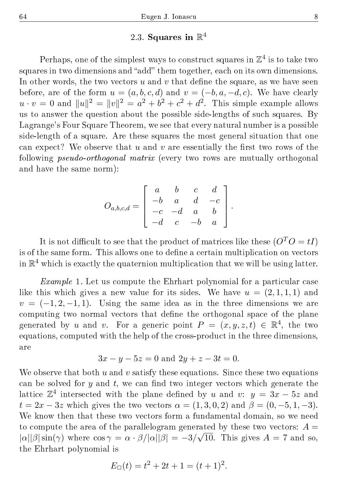# $2.3.$  Squares in  $\mathbb{R}^4$

Perhaps, one of the simplest ways to construct squares in  $\mathbb{Z}^4$  is to take two squares in two dimensions and "add" them together, each on its own dimensions. In other words, the two vectors  $u$  and  $v$  that define the square, as we have seen before, are of the form  $u = (a, b, c, d)$  and  $v = (-b, a, -d, c)$ . We have clearly  $u \cdot v = 0$  and  $||u||^2 = ||v||^2 = a^2 + b^2 + c^2 + d^2$ . This simple example allows us to answer the question about the possible side-lengths of such squares. By Lagrange's Four Square Theorem, we see that every natural number is a possible side-length of a square. Are these squares the most general situation that one can expect? We observe that u and v are essentially the first two rows of the following pseudo-orthogonal matrix (every two rows are mutually orthogonal and have the same norm):

$$
O_{a,b,c,d} = \begin{bmatrix} a & b & c & d \\ -b & a & d & -c \\ -c & -d & a & b \\ -d & c & -b & a \end{bmatrix}.
$$

It is not difficult to see that the product of matrices like these  $(O^T O = tI)$ is of the same form. This allows one to define a certain multiplication on vectors in  $\mathbb{R}^4$  which is exactly the quaternion multiplication that we will be using latter.

Example 1. Let us compute the Ehrhart polynomial for a particular case like this which gives a new value for its sides. We have  $u = (2, 1, 1, 1)$  and  $v = (-1, 2, -1, 1)$ . Using the same idea as in the three dimensions we are computing two normal vectors that define the orthogonal space of the plane generated by u and v. For a generic point  $P = (x, y, z, t) \in \mathbb{R}^4$ , the two equations, computed with the help of the cross-product in the three dimensions, are

$$
3x - y - 5z = 0
$$
 and  $2y + z - 3t = 0$ .

We observe that both u and v satisfy these equations. Since these two equations can be solved for  $y$  and  $t$ , we can find two integer vectors which generate the lattice  $\mathbb{Z}^4$  intersected with the plane defined by u and v:  $y = 3x - 5z$  and  $t = 2x - 3z$  which gives the two vectors  $\alpha = (1, 3, 0, 2)$  and  $\beta = (0, -5, 1, -3)$ . We know then that these two vectors form a fundamental domain, so we need to compute the area of the parallelogram generated by these two vectors:  $A =$  $|\alpha||\beta|\sin(\gamma)$  where  $\cos\gamma = \alpha \cdot \beta/|\alpha||\beta| = -3/\sqrt{10}$ . This gives  $A = 7$  and so, the Ehrhart polynomial is

$$
E_{\Box}(t) = t^2 + 2t + 1 = (t+1)^2.
$$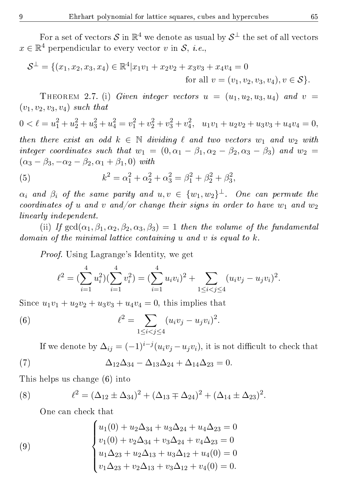For a set of vectors  $\mathcal S$  in  $\mathbb R^4$  we denote as usual by  $\mathcal S^{\perp}$  the set of all vectors  $x \in \mathbb{R}^4$  perpendicular to every vector  $v$  in  $\mathcal{S}, \ i.e.,$ 

$$
\mathcal{S}^{\perp} = \{ (x_1, x_2, x_3, x_4) \in \mathbb{R}^4 | x_1 v_1 + x_2 v_2 + x_3 v_3 + x_4 v_4 = 0
$$
  
for all  $v = (v_1, v_2, v_3, v_4), v \in \mathcal{S} \}.$ 

THEOREM 2.7. (i) Given integer vectors  $u = (u_1, u_2, u_3, u_4)$  and  $v =$  $(v_1, v_2, v_3, v_4)$  such that

$$
0 < \ell = u_1^2 + u_2^2 + u_3^2 + u_4^2 = v_1^2 + v_2^2 + v_3^2 + v_4^2, \quad u_1v_1 + u_2v_2 + u_3v_3 + u_4v_4 = 0,
$$

then there exist an odd  $k \in \mathbb{N}$  dividing  $\ell$  and two vectors  $w_1$  and  $w_2$  with integer coordinates such that  $w_1 = (0, \alpha_1 - \beta_1, \alpha_2 - \beta_2, \alpha_3 - \beta_3)$  and  $w_2 =$  $(\alpha_3 - \beta_3, -\alpha_2 - \beta_2, \alpha_1 + \beta_1, 0)$  with

(5) 
$$
k^2 = \alpha_1^2 + \alpha_2^2 + \alpha_3^2 = \beta_1^2 + \beta_2^2 + \beta_3^2,
$$

 $\alpha_i$  and  $\beta_i$  of the same parity and  $u,v \,\in\, \{w_1,w_2\}^\perp$ . One can permute the coordinates of u and v and/or change their signs in order to have  $w_1$  and  $w_2$ linearly independent.

(ii) If  $gcd(\alpha_1, \beta_1, \alpha_2, \beta_2, \alpha_3, \beta_3) = 1$  then the volume of the fundamental domain of the minimal lattice containing u and v is equal to  $k$ .

Proof. Using Lagrange's Identity, we get

$$
\ell^{2} = \left(\sum_{i=1}^{4} u_{i}^{2}\right)\left(\sum_{i=1}^{4} v_{i}^{2}\right) = \left(\sum_{i=1}^{4} u_{i} v_{i}\right)^{2} + \sum_{1 \leq i < j \leq 4} (u_{i} v_{j} - u_{j} v_{i})^{2}.
$$

Since  $u_1v_1 + u_2v_2 + u_3v_3 + u_4v_4 = 0$ , this implies that

(6) 
$$
\ell^2 = \sum_{1 \le i < j \le 4} (u_i v_j - u_j v_i)^2.
$$

If we denote by  $\Delta_{ij} = (-1)^{i-j} (u_i v_j - u_j v_i)$ , it is not difficult to check that

(7) 
$$
\Delta_{12}\Delta_{34} - \Delta_{13}\Delta_{24} + \Delta_{14}\Delta_{23} = 0.
$$

This helps us change (6) into

(8) 
$$
\ell^2 = (\Delta_{12} \pm \Delta_{34})^2 + (\Delta_{13} \mp \Delta_{24})^2 + (\Delta_{14} \pm \Delta_{23})^2.
$$

One can check that

(9)  

$$
\begin{cases}\nu_1(0) + u_2 \Delta_{34} + u_3 \Delta_{24} + u_4 \Delta_{23} = 0 \\
v_1(0) + v_2 \Delta_{34} + v_3 \Delta_{24} + v_4 \Delta_{23} = 0 \\
u_1 \Delta_{23} + u_2 \Delta_{13} + u_3 \Delta_{12} + u_4(0) = 0 \\
v_1 \Delta_{23} + v_2 \Delta_{13} + v_3 \Delta_{12} + v_4(0) = 0.\n\end{cases}
$$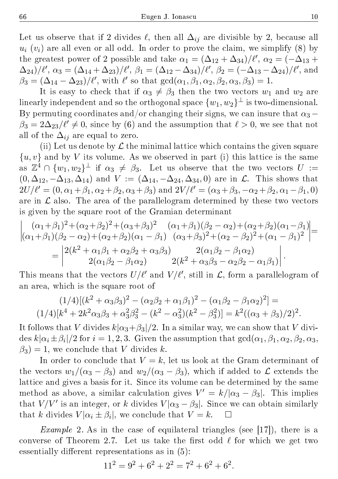Let us observe that if 2 divides  $\ell$ , then all  $\Delta_{ij}$  are divisible by 2, because all  $u_i$  ( $v_i$ ) are all even or all odd. In order to prove the claim, we simplify (8) by the greatest power of 2 possible and take  $\alpha_1 = (\Delta_{12} + \Delta_{34})/\ell', \alpha_2 = (-\Delta_{13} +$  $(\Delta_{24})/\ell', \alpha_3 = (\Delta_{14} + \Delta_{23})/\ell', \beta_1 = (\Delta_{12} - \Delta_{34})/\ell', \beta_2 = (-\Delta_{13} - \Delta_{24})/\ell', \text{ and}$  $\beta_3 = (\Delta_{14} - \Delta_{23})/\ell'$ , with  $\ell'$  so that  $gcd(\alpha_1, \beta_1, \alpha_2, \beta_2, \alpha_3, \beta_3) = 1$ .

It is easy to check that if  $\alpha_3 \neq \beta_3$  then the two vectors  $w_1$  and  $w_2$  are linearly independent and so the orthogonal space  $\{w_1,w_2\}^\perp$  is two-dimensional. By permuting coordinates and/or changing their signs, we can insure that  $\alpha_3$  –  $\beta_3 = 2\Delta_{23}/\ell' \neq 0$ , since by (6) and the assumption that  $\ell > 0$ , we see that not all of the  $\Delta_{ij}$  are equal to zero.

(ii) Let us denote by  $\mathcal L$  the minimal lattice which contains the given square  $\{u, v\}$  and by V its volume. As we observed in part (i) this lattice is the same as  $\mathbb{Z}^4 \cap \{w_1,w_2\}^\perp$  if  $\alpha_3 \neq \beta_3$ . Let us observe that the two vectors  $U :=$  $(0, \Delta_{12}, -\Delta_{13}, \Delta_{14})$  and  $V := (\Delta_{14}, -\Delta_{24}, \Delta_{34}, 0)$  are in  $\mathcal{L}$ . This shows that  $2U/\ell' = (0, \alpha_1 + \beta_1, \alpha_2 + \beta_2, \alpha_3 + \beta_3)$  and  $2V/\ell' = (\alpha_3 + \beta_3, -\alpha_2 + \beta_2, \alpha_1 - \beta_1, 0)$ are in  $\mathcal L$  also. The area of the parallelogram determined by these two vectors is given by the square root of the Gramian determinant

$$
\begin{vmatrix}\n(\alpha_1 + \beta_1)^2 + (\alpha_2 + \beta_2)^2 + (\alpha_3 + \beta_3)^2 & (\alpha_1 + \beta_1)(\beta_2 - \alpha_2) + (\alpha_2 + \beta_2)(\alpha_1 - \beta_1) \\
(\alpha_1 + \beta_1)(\beta_2 - \alpha_2) + (\alpha_2 + \beta_2)(\alpha_1 - \beta_1) & (\alpha_3 + \beta_3)^2 + (\alpha_2 - \beta_2)^2 + (\alpha_1 - \beta_1)^2\n\end{vmatrix} = \n\begin{vmatrix}\n2(k^2 + \alpha_1\beta_1 + \alpha_2\beta_2 + \alpha_3\beta_3) & 2(\alpha_1\beta_2 - \beta_1\alpha_2) \\
2(\alpha_1\beta_2 - \beta_1\alpha_2) & 2(k^2 + \alpha_3\beta_3 - \alpha_2\beta_2 - \alpha_1\beta_1)\n\end{vmatrix}.
$$

This means that the vectors  $U/\ell'$  and  $V/\ell'$ , still in  $\mathcal{L}$ , form a parallelogram of an area, which is the square root of

$$
(1/4)[(k2 + \alpha_3\beta_3)2 - (\alpha_2\beta_2 + \alpha_1\beta_1)2 - (\alpha_1\beta_2 - \beta_1\alpha_2)2] =
$$
  

$$
(1/4)[k4 + 2k2\alpha_3\beta_3 + \alpha_32\beta_32 - (k2 - \alpha_32)(k2 - \beta_32)] = k2((\alpha_3 + \beta_3)/2)2.
$$

It follows that V divides  $k|\alpha_3+\beta_3|/2$ . In a similar way, we can show that V divides  $k|\alpha_i \pm \beta_i|/2$  for  $i=1,2,3$ . Given the assumption that  $\gcd(\alpha_1,\beta_1,\alpha_2,\beta_2,\alpha_3,$  $\beta_3$ ) = 1, we conclude that V divides k.

In order to conclude that  $V = k$ , let us look at the Gram determinant of the vectors  $w_1/(\alpha_3 - \beta_3)$  and  $w_2/(\alpha_3 - \beta_3)$ , which if added to  $\mathcal L$  extends the lattice and gives a basis for it. Since its volume can be determined by the same method as above, a similar calculation gives  $V' = k/|\alpha_3 - \beta_3|$ . This implies that  $V/V'$  is an integer, or k divides  $V|\alpha_3 - \beta_3|$ . Since we can obtain similarly that k divides  $V|\alpha_i \pm \beta_i|$ , we conclude that  $V = k$ .  $\Box$ 

*Example* 2. As in the case of equilateral triangles (see [17]), there is a converse of Theorem 2.7. Let us take the first odd  $\ell$  for which we get two essentially different representations as in  $(5)$ :

$$
112 = 92 + 62 + 22 = 72 + 62 + 62.
$$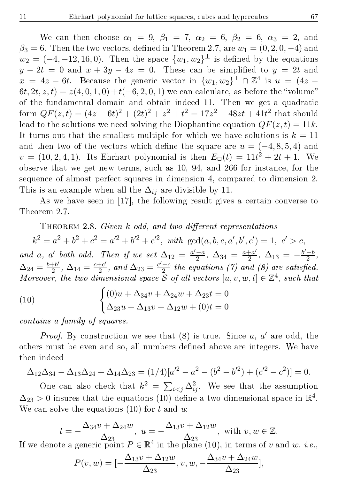We can then choose  $\alpha_1 = 9$ ,  $\beta_1 = 7$ ,  $\alpha_2 = 6$ ,  $\beta_2 = 6$ ,  $\alpha_3 = 2$ , and  $\beta_3 = 6$ . Then the two vectors, defined in Theorem 2.7, are  $w_1 = (0, 2, 0, -4)$  and  $w_2 = (-4, -12, 16, 0)$ . Then the space  $\{w_1, w_2\}^{\perp}$  is defined by the equations  $y - 2t = 0$  and  $x + 3y - 4z = 0$ . These can be simplified to  $y = 2t$  and  $x = 4z - 6t$ . Because the generic vector in  $\{w_1, w_2\}^{\perp} \cap \mathbb{Z}^4$  is  $u = (4z - 4z)$  $6t, 2t, z, t) = z(4, 0, 1, 0) + t(-6, 2, 0, 1)$  we can calculate, as before the "volume" of the fundamental domain and obtain indeed 11. Then we get a quadratic form  $QF(z,t) = (4z - 6t)^2 + (2t)^2 + z^2 + t^2 = 17z^2 - 48zt + 41t^2$  that should lead to the solutions we need solving the Diophantine equation  $QF(z, t) = 11k$ . It turns out that the smallest multiple for which we have solutions is  $k = 11$ and then two of the vectors which define the square are  $u = (-4, 8, 5, 4)$  and  $v = (10, 2, 4, 1)$ . Its Ehrhart polynomial is then  $E_{\Box}(t) = 11t^2 + 2t + 1$ . We observe that we get new terms, such as 10, 94, and 266 for instance, for the sequence of almost perfect squares in dimension 4, compared to dimension 2. This is an example when all the  $\Delta_{ij}$  are divisible by 11.

As we have seen in [17], the following result gives a certain converse to Theorem 2.7.

THEOREM 2.8. Given  $k$  odd, and two different representations

 $k^2 = a^2 + b^2 + c^2 = a'^2 + b'^2 + c'^2$ , with  $gcd(a, b, c, a', b', c') = 1, c' > c$ , and a, a' both odd. Then if we set  $\Delta_{12} = \frac{a' - a}{2}$  $\frac{-a}{2}$ ,  $\Delta_{34} = \frac{a+a'}{2}$  $\frac{+a'}{2}$ ,  $\Delta_{13} = -\frac{b'-b}{2}$  $\frac{-b}{2}$ ,  $\Delta_{24}=\frac{b+b'}{2}$  $\frac{+b'}{2}$ ,  $\Delta_{14} = \frac{c+c'}{2}$  $\frac{+c'}{2}$ , and  $\Delta_{23} = \frac{c'-c}{2}$  $\frac{-c}{2}$  the equations (7) and (8) are satisfied. Moreover, the two dimensional space  $\tilde{\mathcal{S}}$  of all vectors  $[u, v, w, t] \in \mathbb{Z}^4$ , such that

(10) 
$$
\begin{cases} (0)u + \Delta_{34}v + \Delta_{24}w + \Delta_{23}t = 0\\ \Delta_{23}u + \Delta_{13}v + \Delta_{12}w + (0)t = 0 \end{cases}
$$

contains a family of squares.

*Proof.* By construction we see that  $(8)$  is true. Since a, a' are odd, the others must be even and so, all numbers dened above are integers. We have then indeed

$$
\Delta_{12}\Delta_{34} - \Delta_{13}\Delta_{24} + \Delta_{14}\Delta_{23} = (1/4)[a'^2 - a^2 - (b^2 - b'^2) + (c'^2 - c^2)] = 0.
$$

One can also check that  $k^2 = \sum_{i \leq j} \Delta_{ij}^2$ . We see that the assumption  $\Delta_{23} > 0$  insures that the equations (10) define a two dimensional space in  $\mathbb{R}^4$ . We can solve the equations  $(10)$  for t and u.

$$
t = -\frac{\Delta_{34}v + \Delta_{24}w}{\Delta_{23}}, \ u = -\frac{\Delta_{13}v + \Delta_{12}w}{\Delta_{23}}, \text{ with } v, w \in \mathbb{Z}.
$$

 $\Delta_{23}$ ,  $\Delta_{23}$ ,  $\Delta_{23}$ ,  $\Delta_{24}$ ,  $\Delta_{25}$ ,  $\Delta_{26}$ ,  $\Delta_{27}$ ,  $\Delta_{28}$ ,  $\Delta_{29}$ ,  $\Delta_{20}$ ,  $\Delta_{21}$ ,  $\Delta_{22}$ ,  $\Delta_{23}$ ,  $\Delta_{24}$ ,  $\Delta_{25}$ ,  $\Delta_{28}$ ,  $\Delta_{29}$ ,  $\Delta_{20}$ ,  $\Delta_{21}$ ,  $\Delta_{22}$ ,  $\Delta_{23}$ ,  $\Delta_{24}$ ,

$$
P(v, w) = \left[ -\frac{\Delta_{13}v + \Delta_{12}w}{\Delta_{23}}, v, w, -\frac{\Delta_{34}v + \Delta_{24}w}{\Delta_{23}} \right],
$$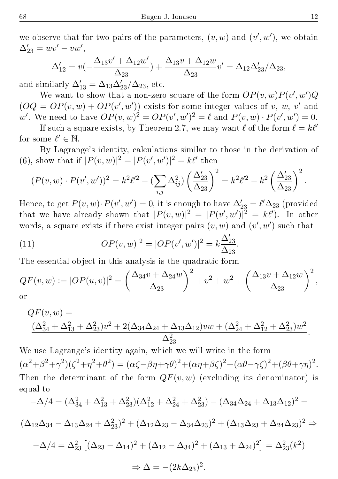we observe that for two pairs of the parameters,  $(v, w)$  and  $(v', w')$ , we obtain  $\Delta'_{23} = wv' - vw',$ 

$$
\Delta'_{12} = v\left(-\frac{\Delta_{13}v' + \Delta_{12}w'}{\Delta_{23}}\right) + \frac{\Delta_{13}v + \Delta_{12}w}{\Delta_{23}}v' = \Delta_{12}\Delta'_{23}/\Delta_{23},
$$

and similarly  $\Delta'_{13} = \Delta_{13}\Delta'_{23}/\Delta_{23}$ , etc.

We want to show that a non-zero square of the form  $OP(v,w)P(v',w')Q$  $(OQ = OP(v, w) + OP(v', w'))$  exists for some integer values of v, w, v' and w'. We need to have  $OP(v, w)^2 = OP(v', w')^2 = \ell$  and  $P(v, w) \cdot P(v', w') = 0$ .

If such a square exists, by Theorem 2.7, we may want  $\ell$  of the form  $\ell = k\ell'$ for some  $\ell' \in \mathbb{N}$ .

By Lagrange's identity, calculations similar to those in the derivation of (6), show that if  $|P(v, w)|^2 = |P(v', w')|^2 = k\ell'$  then

$$
(P(v, w) \cdot P(v', w'))^2 = k^2 \ell'^2 - \left(\sum_{i,j} \Delta_{ij}^2\right) \left(\frac{\Delta_{23}'}{\Delta_{23}}\right)^2 = k^2 \ell'^2 - k^2 \left(\frac{\Delta_{23}'}{\Delta_{23}}\right)^2.
$$

Hence, to get  $P(v, w) \cdot P(v', w') = 0$ , it is enough to have  $\Delta'_{23} = \ell' \Delta_{23}$  (provided that we have already shown that  $|P(v, w)|^2 = |P(v', w')|^2 = k\ell'$ . In other words, a square exists if there exist integer pairs  $(v, w)$  and  $(v', w')$  such that

(11) 
$$
|OP(v, w)|^2 = |OP(v', w')|^2 = k \frac{\Delta'_{23}}{\Delta_{23}}.
$$

The essential object in this analysis is the quadratic form

$$
QF(v, w) := |OP(u, v)|^2 = \left(\frac{\Delta_{34}v + \Delta_{24}w}{\Delta_{23}}\right)^2 + v^2 + w^2 + \left(\frac{\Delta_{13}v + \Delta_{12}w}{\Delta_{23}}\right)^2,
$$
  
or

$$
QF(v, w) =
$$
  

$$
\frac{(\Delta_{34}^2 + \Delta_{13}^2 + \Delta_{23}^2)v^2 + 2(\Delta_{34}\Delta_{24} + \Delta_{13}\Delta_{12})vw + (\Delta_{24}^2 + \Delta_{12}^2 + \Delta_{23}^2)w^2}{\Delta_{23}^2}.
$$

We use Lagrange's identity again, which we will write in the form  $(\alpha^2 + \beta^2 + \gamma^2)(\zeta^2 + \eta^2 + \theta^2) = (\alpha\zeta - \beta\eta + \gamma\theta)^2 + (\alpha\eta + \beta\zeta)^2 + (\alpha\theta - \gamma\zeta)^2 + (\beta\theta + \gamma\eta)^2.$ Then the determinant of the form  $QF(v, w)$  (excluding its denominator) is equal to

$$
-\Delta/4 = (\Delta_{34}^2 + \Delta_{13}^2 + \Delta_{23}^2)(\Delta_{12}^2 + \Delta_{24}^2 + \Delta_{23}^2) - (\Delta_{34}\Delta_{24} + \Delta_{13}\Delta_{12})^2 =
$$
  

$$
(\Delta_{12}\Delta_{34} - \Delta_{13}\Delta_{24} + \Delta_{23}^2)^2 + (\Delta_{12}\Delta_{23} - \Delta_{34}\Delta_{23})^2 + (\Delta_{13}\Delta_{23} + \Delta_{24}\Delta_{23})^2 \Rightarrow
$$
  

$$
-\Delta/4 = \Delta_{23}^2 [(\Delta_{23} - \Delta_{14})^2 + (\Delta_{12} - \Delta_{34})^2 + (\Delta_{13} + \Delta_{24})^2] = \Delta_{23}^2(k^2)
$$
  

$$
\Rightarrow \Delta = -(2k\Delta_{23})^2.
$$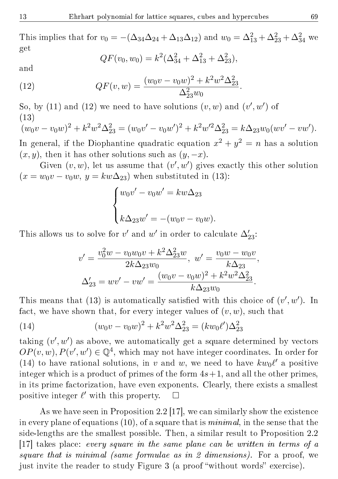This implies that for  $v_0 = -(\Delta_{34}\Delta_{24} + \Delta_{13}\Delta_{12})$  and  $w_0 = \Delta_{13}^2 + \Delta_{23}^2 + \Delta_{34}^2$  we get

$$
QF(v_0, w_0) = k^2(\Delta_{34}^2 + \Delta_{13}^2 + \Delta_{23}^2),
$$

and

(12) 
$$
QF(v, w) = \frac{(w_0v - v_0w)^2 + k^2w^2\Delta_{23}^2}{\Delta_{23}^2w_0}.
$$

So, by (11) and (12) we need to have solutions  $(v, w)$  and  $(v', w')$  of (13)

$$
(w_0v - v_0w)^2 + k^2w^2\Delta_{23}^2 = (w_0v' - v_0w')^2 + k^2w'^2\Delta_{23}^2 = k\Delta_{23}w_0(wv' - vw').
$$

In general, if the Diophantine quadratic equation  $x^2 + y^2 = n$  has a solution  $(x, y)$ , then it has other solutions such as  $(y, -x)$ .

Given  $(v, w)$ , let us assume that  $(v', w')$  gives exactly this other solution  $(x = w_0v - v_0w, y = kw\Delta_{23})$  when substituted in (13):

$$
\begin{cases} w_0v' - v_0w' = kw\Delta_{23} \\ k\Delta_{23}w' = -(w_0v - v_0w). \end{cases}
$$

This allows us to solve for  $v'$  and  $w'$  in order to calculate  $\Delta'_{23}$ :

$$
v' = \frac{v_0^2 w - v_0 w_0 v + k^2 \Delta_{23}^2 w}{2k \Delta_{23} w_0}, \quad w' = \frac{v_0 w - w_0 v}{k \Delta_{23}},
$$

$$
\Delta_{23}' = w v' - v w' = \frac{(w_0 v - v_0 w)^2 + k^2 w^2 \Delta_{23}^2}{k \Delta_{23} w_0}.
$$

This means that (13) is automatically satisfied with this choice of  $(v', w')$ . In fact, we have shown that, for every integer values of  $(v, w)$ , such that

(14) 
$$
(w_0v - v_0w)^2 + k^2w^2\Delta_{23}^2 = (kw_0\ell')\Delta_{23}^2
$$

taking  $(v', w')$  as above, we automatically get a square determined by vectors  $OP(v, w), P(v', w') \in \mathbb{Q}^4$ , which may not have integer coordinates. In order for (14) to have rational solutions, in v and w, we need to have  $kw_0\ell'$  a positive integer which is a product of primes of the form  $4s+1$ , and all the other primes, in its prime factorization, have even exponents. Clearly, there exists a smallest positive integer  $\ell'$  with this property.  $\Box$ 

As we have seen in Proposition 2.2 [17], we can similarly show the existence in every plane of equations (10), of a square that is minimal, in the sense that the side-lengths are the smallest possible. Then, a similar result to Proposition 2.2 [17] takes place: every square in the same plane can be written in terms of a square that is minimal (same formulae as in 2 dimensions). For a proof, we just invite the reader to study Figure 3 (a proof "without words" exercise).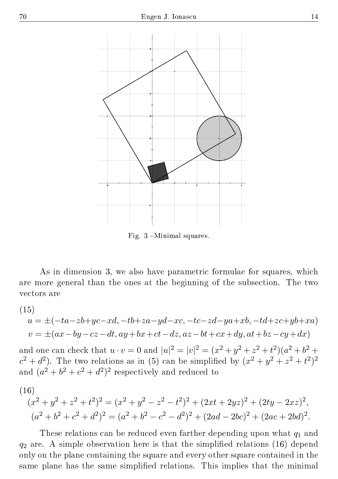

Fig. 3 -Minimal squares.

As in dimension 3, we also have parametric formulae for squares, which are more general than the ones at the beginning of the subsection. The two vectors are

$$
(15)
$$

$$
\begin{aligned} u&=\pm(-ta-zb+yc-xd,-tb+za-yd-xc,-tc-zd-ya+xb,-td+zc+yb+xa)\\ v&=\pm(ax-by-cz-dt,ay+bx+ct-dz,az-bt+cx+dy,at+bz-cy+dx)\end{aligned}
$$

and one can check that  $u \cdot v = 0$  and  $|u|^2 = |v|^2 = (x^2 + y^2 + z^2 + t^2)(a^2 + b^2 + t^2)$  $c^2 + d^2$ ). The two relations as in (5) can be simplified by  $(x^2 + y^2 + z^2 + t^2)^2$ and  $(a^2 + b^2 + c^2 + d^2)^2$  respectively and reduced to

(16)  
\n
$$
(x^{2} + y^{2} + z^{2} + t^{2})^{2} = (x^{2} + y^{2} - z^{2} - t^{2})^{2} + (2xt + 2yz)^{2} + (2ty - 2xz)^{2},
$$
\n
$$
(a^{2} + b^{2} + c^{2} + d^{2})^{2} = (a^{2} + b^{2} - c^{2} - d^{2})^{2} + (2ad - 2bc)^{2} + (2ac + 2bd)^{2}.
$$

These relations can be reduced even farther depending upon what  $q_1$  and  $q_2$  are. A simple observation here is that the simplified relations (16) depend only on the plane containing the square and every other square contained in the same plane has the same simplified relations. This implies that the minimal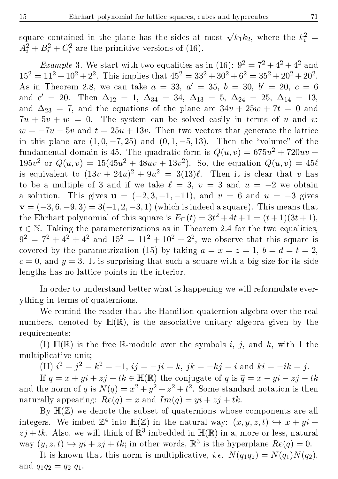square contained in the plane has the sides at most  $\sqrt{k_1k_2}$ , where the  $k_i^2 =$  $A_i^2 + B_i^2 + C_i^2$  are the primitive versions of (16).

*Example* 3. We start with two equalities as in (16):  $9^2 = 7^2 + 4^2 + 4^2$  and  $15^2 = 11^2 + 10^2 + 2^2$ . This implies that  $45^2 = 33^2 + 30^2 + 6^2 = 35^2 + 20^2 + 20^2$ . As in Theorem 2.8, we can take  $a = 33, a' = 35, b = 30, b' = 20, c = 6$ and  $c' = 20$ . Then  $\Delta_{12} = 1$ ,  $\Delta_{34} = 34$ ,  $\Delta_{13} = 5$ ,  $\Delta_{24} = 25$ ,  $\Delta_{14} = 13$ , and  $\Delta_{23} = 7$ , and the equations of the plane are  $34v + 25w + 7t = 0$  and  $7u + 5v + w = 0$ . The system can be solved easily in terms of u and v:  $w = -7u - 5v$  and  $t = 25u + 13v$ . Then two vectors that generate the lattice in this plane are  $(1, 0, -7, 25)$  and  $(0, 1, -5, 13)$ . Then the "volume" of the fundamental domain is 45. The quadratic form is  $Q(u, v) = 675u^2 + 720uv +$  $195v^2$  or  $Q(u, v) = 15(45u^2 + 48uv + 13v^2)$ . So, the equation  $Q(u, v) = 45\ell$ is equivalent to  $(13v + 24u)^2 + 9u^2 = 3(13)\ell$ . Then it is clear that v has to be a multiple of 3 and if we take  $\ell = 3$ ,  $v = 3$  and  $u = -2$  we obtain a solution. This gives  $\mathbf{u} = (-2, 3, -1, -11)$ , and  $v = 6$  and  $u = -3$  gives  $\mathbf{v} = (-3, 6, -9, 3) = 3(-1, 2, -3, 1)$  (which is indeed a square). This means that the Ehrhart polynomial of this square is  $E_{\Box}(t) = 3t^2 + 4t + 1 = (t+1)(3t+1),$  $t \in \mathbb{N}$ . Taking the parameterizations as in Theorem 2.4 for the two equalities,  $9^2 = 7^2 + 4^2 + 4^2$  and  $15^2 = 11^2 + 10^2 + 2^2$ , we observe that this square is covered by the parametrization (15) by taking  $a = x = z = 1, b = d = t = 2$ ,  $c = 0$ , and  $y = 3$ . It is surprising that such a square with a big size for its side lengths has no lattice points in the interior.

In order to understand better what is happening we will reformulate everything in terms of quaternions.

We remind the reader that the Hamilton quaternion algebra over the real numbers, denoted by  $\mathbb{H}(\mathbb{R})$ , is the associative unitary algebra given by the requirements:

(I)  $\mathbb{H}(\mathbb{R})$  is the free R-module over the symbols i, j, and k, with 1 the multiplicative unit;

(II)  $i^2 = j^2 = k^2 = -1$ ,  $ij = -ji = k$ ,  $jk = -kj = i$  and  $ki = -ik = j$ .

If  $q = x + yi + zj + tk \in \mathbb{H}(\mathbb{R})$  the conjugate of q is  $\overline{q} = x - yi - zj - tk$ and the norm of q is  $N(q) = x^2 + y^2 + z^2 + t^2$ . Some standard notation is then naturally appearing:  $Re(q) = x$  and  $Im(q) = yi + zj + tk$ .

By  $\mathbb{H}(\mathbb{Z})$  we denote the subset of quaternions whose components are all integers. We imbed  $\mathbb{Z}^4$  into  $\mathbb{H}(\mathbb{Z})$  in the natural way:  $(x, y, z, t) \hookrightarrow x + yi +$  $zj + tk$ . Also, we will think of  $\mathbb{R}^3$  imbedded in  $\mathbb{H}(\mathbb{R})$  in a, more or less, natural way  $(y, z, t) \hookrightarrow yi + zj + tk$ ; in other words,  $\mathbb{R}^3$  is the hyperplane  $Re(q) = 0$ .

It is known that this norm is multiplicative, *i.e.*  $N(q_1q_2) = N(q_1)N(q_2)$ , and  $\overline{q_1q_2} = \overline{q_2} \, \overline{q_1}$ .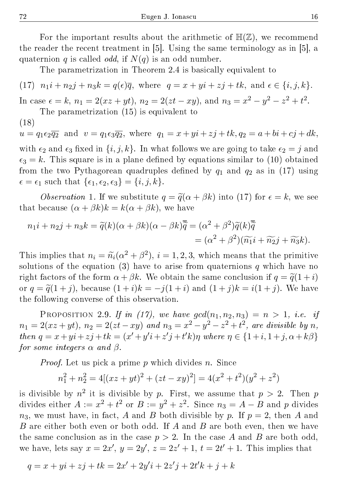For the important results about the arithmetic of  $\mathbb{H}(\mathbb{Z})$ , we recommend the reader the recent treatment in [5]. Using the same terminology as in [5], a quaternion q is called *odd*, if  $N(q)$  is an odd number.

The parametrization in Theorem 2.4 is basically equivalent to

(17) 
$$
n_1i + n_2j + n_3k = q(\epsilon)\overline{q}
$$
, where  $q = x + yi + zj + tk$ , and  $\epsilon \in \{i, j, k\}$ . In case  $\epsilon = k$ ,  $n_1 = 2(xz + yt)$ ,  $n_2 = 2(zt - xy)$ , and  $n_3 = x^2 - y^2 - z^2 + t^2$ . The parametrization (15) is equivalent to

(18)

 $u = q_1 \epsilon_2 \overline{q_2}$  and  $v = q_1 \epsilon_3 \overline{q_2}$ , where  $q_1 = x + yi + zj + tk, q_2 = a + bi + cj + dk$ , with  $\epsilon_2$  and  $\epsilon_3$  fixed in  $\{i, j, k\}$ . In what follows we are going to take  $\epsilon_2 = j$  and  $\epsilon_3 = k$ . This square is in a plane defined by equations similar to (10) obtained from the two Pythagorean quadruples defined by  $q_1$  and  $q_2$  as in (17) using  $\epsilon = \epsilon_1$  such that  $\{\epsilon_1, \epsilon_2, \epsilon_3\} = \{i, j, k\}.$ 

*Observation* 1. If we substitute  $q = \tilde{q}(\alpha + \beta k)$  into (17) for  $\epsilon = k$ , we see that because  $(\alpha + \beta k)k = k(\alpha + \beta k)$ , we have

$$
n_1i + n_2j + n_3k = \tilde{q}(k)(\alpha + \beta k)(\alpha - \beta k)\overline{\tilde{q}} = (\alpha^2 + \beta^2)\tilde{q}(k)\overline{\tilde{q}} = (\alpha^2 + \beta^2)(\widetilde{n_1}i + \widetilde{n_2}j + \widetilde{n_3}k).
$$

This implies that  $n_i = \tilde{n}_i(\alpha^2 + \beta^2), i = 1, 2, 3$ , which means that the primitive<br>solutions of the equation (3) have to axise from quaternions g which have no solutions of the equation (3) have to arise from quaternions q which have no right factors of the form  $\alpha + \beta k$ . We obtain the same conclusion if  $q = \tilde{q}(1 + i)$ or  $q = \tilde{q}(1 + j)$ , because  $(1 + i)k = -j(1 + i)$  and  $(1 + j)k = i(1 + j)$ . We have the following converse of this observation.

PROPOSITION 2.9. If in (17), we have  $gcd(n_1, n_2, n_3) = n > 1$ , i.e. if  $n_1 = 2(xz + yt), n_2 = 2(zt - xy)$  and  $n_3 = x^2 - y^2 - z^2 + t^2$ , are divisible by n, then  $q = x + yi + zj + tk = (x' + y'i + z'j + t'k)\eta$  where  $\eta \in \{1 + i, 1 + j, \alpha + k\beta\}$ for some integers  $\alpha$  and  $\beta$ .

*Proof.* Let us pick a prime  $p$  which divides  $n$ . Since

$$
n_1^2 + n_2^2 = 4[(xz + yt)^2 + (zt - xy)^2] = 4(x^2 + t^2)(y^2 + z^2)
$$

is divisible by  $n^2$  it is divisible by p. First, we assume that  $p > 2$ . Then p divides either  $A := x^2 + t^2$  or  $B := y^2 + z^2$ . Since  $n_3 = A - B$  and p divides  $n_3$ , we must have, in fact, A and B both divisible by p. If  $p = 2$ , then A and B are either both even or both odd. If A and B are both even, then we have the same conclusion as in the case  $p > 2$ . In the case A and B are both odd, we have, lets say  $x = 2x'$ ,  $y = 2y'$ ,  $z = 2z' + 1$ ,  $t = 2t' + 1$ . This implies that

$$
q = x + yi + zj + tk = 2x' + 2y'i + 2z'j + 2t'k + j + k
$$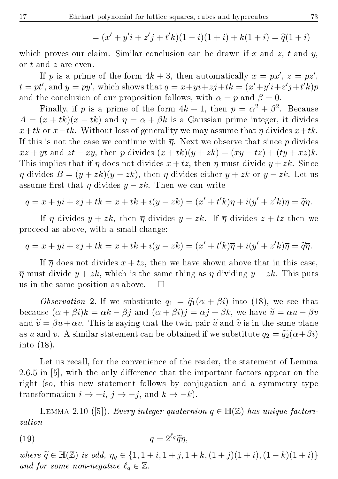$$
= (x' + y'i + z'j + t'k)(1 - i)(1 + i) + k(1 + i) = \tilde{q}(1 + i)
$$

which proves our claim. Similar conclusion can be drawn if x and z, t and  $y$ , or t and z are even.

If p is a prime of the form  $4k + 3$ , then automatically  $x = px'$ ,  $z = pz'$ ,  $t = pt'$ , and  $y = py'$ , which shows that  $q = x + yi + zj + tk = (x' + y'i + z'j + t'k)p$ and the conclusion of our proposition follows, with  $\alpha = p$  and  $\beta = 0$ .

Finally, if p is a prime of the form  $4k+1$ , then  $p = \alpha^2 + \beta^2$ . Because  $A = (x + tk)(x - tk)$  and  $\eta = \alpha + \beta k$  is a Gaussian prime integer, it divides  $x+tk$  or  $x-tk$ . Without loss of generality we may assume that  $\eta$  divides  $x+tk$ . If this is not the case we continue with  $\bar{n}$ . Next we observe that since p divides  $xz + yt$  and  $zt - xy$ , then p divides  $(x + tk)(y + zk) = (xy - tz) + (tu + xz)k$ . This implies that if  $\overline{\eta}$  does not divides  $x + tz$ , then  $\overline{\eta}$  must divide  $y + zk$ . Since  $\eta$  divides  $B = (y + zk)(y - zk)$ , then  $\eta$  divides either  $y + zk$  or  $y - zk$ . Let us assume first that  $\eta$  divides  $y - zk$ . Then we can write

$$
q = x + yi + zj + tk = x + tk + i(y - zk) = (x' + t'k)\eta + i(y' + z'k)\eta = \tilde{q}\eta.
$$

If  $\eta$  divides  $y + zk$ , then  $\overline{\eta}$  divides  $y - zk$ . If  $\overline{\eta}$  divides  $z + tz$  then we proceed as above, with a small change:

$$
q = x + yi + zj + tk = x + tk + i(y - zk) = (x' + t'k)\overline{\eta} + i(y' + z'k)\overline{\eta} = \widetilde{q}\overline{\eta}.
$$

If  $\overline{\eta}$  does not divides  $x + tz$ , then we have shown above that in this case,  $\overline{\eta}$  must divide  $y + zk$ , which is the same thing as  $\eta$  dividing  $y - zk$ . This puts us in the same position as above.  $\square$ 

*Observation* 2. If we substitute  $q_1 = \tilde{q}_1(\alpha + \beta i)$  into (18), we see that because  $(\alpha + \beta i)k = \alpha k - \beta j$  and  $(\alpha + \beta i)j = \alpha j + \beta k$ , we have  $\tilde{u} = \alpha u - \beta v$ and  $\tilde{v} = \beta u + \alpha v$ . This is saying that the twin pair  $\tilde{u}$  and  $\tilde{v}$  is in the same plane as u and v. A similar statement can be obtained if we substitute  $q_2 = \tilde{q}_2(\alpha + \beta i)$ into (18).

Let us recall, for the convenience of the reader, the statement of Lemma  $2.6.5$  in [5], with the only difference that the important factors appear on the right (so, this new statement follows by conjugation and a symmetry type transformation  $i \rightarrow -i$ ,  $j \rightarrow -j$ , and  $k \rightarrow -k$ ).

LEMMA 2.10 ([5]). Every integer quaternion  $q \in \mathbb{H}(\mathbb{Z})$  has unique factorization

$$
(19) \t\t\t q = 2^{\ell_q} \widetilde{q} \eta,
$$

where  $\widetilde{q} \in \mathbb{H}(\mathbb{Z})$  is odd,  $\eta_q \in \{1, 1 + i, 1 + j, 1 + k, (1 + j)(1 + i), (1 - k)(1 + i)\}\$ and for some non-negative  $\ell_q \in \mathbb{Z}$ .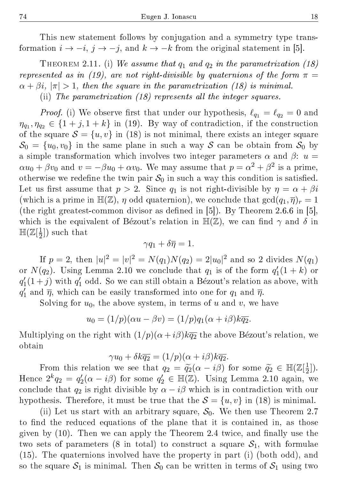This new statement follows by conjugation and a symmetry type transformation  $i \rightarrow -i$ ,  $j \rightarrow -j$ , and  $k \rightarrow -k$  from the original statement in [5].

THEOREM 2.11. (i) We assume that  $q_1$  and  $q_2$  in the parametrization (18) represented as in (19), are not right-divisible by quaternions of the form  $\pi$  =  $\alpha + \beta i$ ,  $|\pi| > 1$ , then the square in the parametrization (18) is minimal. (ii) The parametrization (18) represents all the integer squares.

*Proof.* (i) We observe first that under our hypothesis,  $\ell_{q_1} = \ell_{q_2} = 0$  and  $\eta_{q_1}, \eta_{q_2} \in \{1+j, 1+k\}$  in (19). By way of contradiction, if the construction of the square  $S = \{u, v\}$  in (18) is not minimal, there exists an integer square  $S_0 = \{u_0, v_0\}$  in the same plane in such a way S can be obtain from  $S_0$  by a simple transformation which involves two integer parameters  $\alpha$  and  $\beta$ :  $u =$  $\alpha u_0 + \beta v_0$  and  $v = -\beta u_0 + \alpha v_0$ . We may assume that  $p = \alpha^2 + \beta^2$  is a prime, otherwise we redefine the twin pair  $S_0$  in such a way this condition is satisfied. Let us first assume that  $p > 2$ . Since  $q_1$  is not right-divisible by  $\eta = \alpha + \beta i$ (which is a prime in  $\mathbb{H}(\mathbb{Z})$ ,  $\eta$  odd quaternion), we conclude that  $gcd(q_1, \overline{\eta})_r = 1$ (the right greatest-common divisor as defined in  $[5]$ ). By Theorem 2.6.6 in  $[5]$ , which is the equivalent of Bézout's relation in  $\mathbb{H}(\mathbb{Z})$ , we can find  $\gamma$  and  $\delta$  in  $\mathbb{H}(\mathbb{Z}[\frac{1}{2}$  $(\frac{1}{2}]$ ) such that

$$
\gamma q_1 + \delta \overline{\eta} = 1.
$$

If  $p = 2$ , then  $|u|^2 = |v|^2 = N(q_1)N(q_2) = 2|u_0|^2$  and so 2 divides  $N(q_1)$ or  $N(q_2)$ . Using Lemma 2.10 we conclude that  $q_1$  is of the form  $q'_1(1+k)$  or  $q'_1(1+j)$  with  $q'_1$  odd. So we can still obtain a Bézout's relation as above, with  $q'_1$  and  $\overline{\eta}$ , which can be easily transformed into one for  $q_1$  and  $\overline{\eta}$ .

Solving for  $u_0$ , the above system, in terms of u and v, we have

$$
u_0 = (1/p)(\alpha u - \beta v) = (1/p)q_1(\alpha + i\beta)k\overline{q_2}.
$$

Multiplying on the right with  $(1/p)(\alpha + i\beta)k\overline{q_2}$  the above Bézout's relation, we obtain

$$
\gamma u_0 + \delta k \overline{q_2} = (1/p)(\alpha + i\beta)k \overline{q_2}.
$$

From this relation we see that  $q_2 = \tilde{q}_2(\alpha - i\beta)$  for some  $\tilde{q}_2 \in \mathbb{H}(\mathbb{Z}[\frac{1}{2}])$  $\frac{1}{2}]$ ). Hence  $2^k q_2 = q_2'(\alpha - i\beta)$  for some  $q_2' \in \mathbb{H}(\mathbb{Z})$ . Using Lemma 2.10 again, we conclude that  $q_2$  is right divisible by  $\alpha - i\beta$  which is in contradiction with our hypothesis. Therefore, it must be true that the  $S = \{u, v\}$  in (18) is minimal.

(ii) Let us start with an arbitrary square,  $S_0$ . We then use Theorem 2.7 to find the reduced equations of the plane that it is contained in, as those given by  $(10)$ . Then we can apply the Theorem 2.4 twice, and finally use the two sets of parameters (8 in total) to construct a square  $S_1$ , with formulae (15). The quaternions involved have the property in part (i) (both odd), and so the square  $S_1$  is minimal. Then  $S_0$  can be written in terms of  $S_1$  using two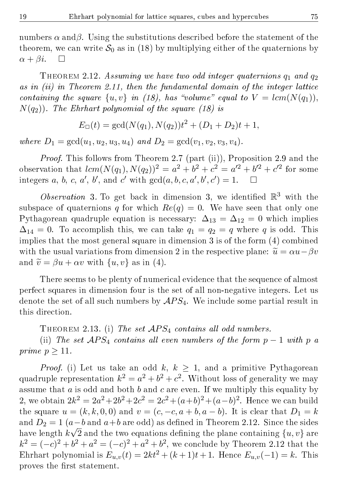numbers  $\alpha$  and $\beta$ . Using the substitutions described before the statement of the theorem, we can write  $S_0$  as in (18) by multiplying either of the quaternions by  $\alpha + \beta i$ .  $\Box$ 

THEOREM 2.12. Assuming we have two odd integer quaternions  $q_1$  and  $q_2$ as in  $(ii)$  in Theorem 2.11, then the fundamental domain of the integer lattice containing the square  $\{u, v\}$  in (18), has "volume" equal to  $V = lcm(N(q_1)),$  $N(q_2)$ ). The Ehrhart polynomial of the square (18) is

$$
E_{\Box}(t) = \gcd(N(q_1), N(q_2))t^2 + (D_1 + D_2)t + 1,
$$

where  $D_1 = \gcd(u_1, u_2, u_3, u_4)$  and  $D_2 = \gcd(v_1, v_2, v_3, v_4)$ .

Proof. This follows from Theorem 2.7 (part (ii)), Proposition 2.9 and the observation that  $lcm(N(q_1), N(q_2))^2 = a^2 + b^2 + c^2 = a'^2 + b'^2 + c'^2$  for some integers a, b, c, a', b', and c' with  $gcd(a, b, c, a', b', c') = 1$ .  $\Box$ 

Observation 3. To get back in dimension 3, we identified  $\mathbb{R}^3$  with the subspace of quaternions q for which  $Re(q) = 0$ . We have seen that only one Pythagorean quadruple equation is necessary:  $\Delta_{13} = \Delta_{12} = 0$  which implies  $\Delta_{14} = 0$ . To accomplish this, we can take  $q_1 = q_2 = q$  where q is odd. This implies that the most general square in dimension 3 is of the form (4) combined with the usual variations from dimension 2 in the respective plane:  $\tilde{u} = \alpha u - \beta v$ and  $\widetilde{v} = \beta u + \alpha v$  with  $\{u, v\}$  as in (4).

There seems to be plenty of numerical evidence that the sequence of almost perfect squares in dimension four is the set of all non-negative integers. Let us denote the set of all such numbers by  $APS<sub>4</sub>$ . We include some partial result in this direction.

THEOREM 2.13. (i) The set  $APS<sub>4</sub>$  contains all odd numbers.

(ii) The set  $APS_4$  contains all even numbers of the form  $p-1$  with p a prime  $p > 11$ .

*Proof.* (i) Let us take an odd k,  $k > 1$ , and a primitive Pythagorean quadruple representation  $k^2 = a^2 + b^2 + c^2$ . Without loss of generality we may assume that  $a$  is odd and both  $b$  and  $c$  are even. If we multiply this equality by 2, we obtain  $2k^2 = 2a^2 + 2b^2 + 2c^2 = 2c^2 + (a+b)^2 + (a-b)^2$ . Hence we can build the square  $u = (k, k, 0, 0)$  and  $v = (c, -c, a + b, a - b)$ . It is clear that  $D_1 = k$ and  $D_2 = 1$  (a−b and a+b are odd) as defined in Theorem 2.12. Since the sides have length  $k\sqrt{2}$  and the two equations defining the plane containing  $\{u,v\}$  are  $k^2 = (-c)^2 + b^2 + a^2 = (-c)^2 + a^2 + b^2$ , we conclude by Theorem 2.12 that the Ehrhart polynomial is  $E_{u,v}(t) = 2kt^2 + (k+1)t + 1$ . Hence  $E_{u,v}(-1) = k$ . This proves the first statement.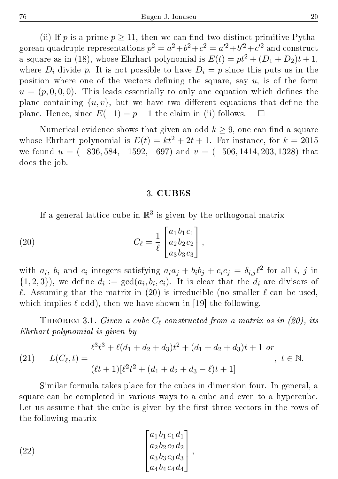(ii) If p is a prime  $p > 11$ , then we can find two distinct primitive Pythagorean quadruple representations  $p^2 = a^2 + b^2 + c^2 = a'^2 + b'^2 + c'^2$  and construct a square as in (18), whose Ehrhart polynomial is  $E(t) = pt^2 + (D_1 + D_2)t + 1$ , where  $D_i$  divide p. It is not possible to have  $D_i = p$  since this puts us in the position where one of the vectors defining the square, say  $u$ , is of the form  $u = (p, 0, 0, 0)$ . This leads essentially to only one equation which defines the plane containing  $\{u, v\}$ , but we have two different equations that define the plane. Hence, since  $E(-1) = p - 1$  the claim in (ii) follows.  $\square$ 

Numerical evidence shows that given an odd  $k \geq 9$ , one can find a square whose Ehrhart polynomial is  $E(t) = kt^2 + 2t + 1$ . For instance, for  $k = 2015$ we found  $u = (-836, 584, -1592, -697)$  and  $v = (-506, 1414, 203, 1328)$  that does the job.

#### 3. CUBES

If a general lattice cube in  $\mathbb{R}^3$  is given by the orthogonal matrix

(20) 
$$
C_{\ell} = \frac{1}{\ell} \begin{bmatrix} a_1 b_1 c_1 \\ a_2 b_2 c_2 \\ a_3 b_3 c_3 \end{bmatrix},
$$

with  $a_i$ ,  $b_i$  and  $c_i$  integers satisfying  $a_i a_j + b_i b_j + c_i c_j = \delta_{i,j} \ell^2$  for all i, j in  $\{1,2,3\}$ , we define  $d_i := \gcd(a_i,b_i,c_i)$ . It is clear that the  $d_i$  are divisors of  $\ell$ . Assuming that the matrix in (20) is irreducible (no smaller  $\ell$  can be used, which implies  $\ell$  odd), then we have shown in [19] the following.

THEOREM 3.1. Given a cube  $C_{\ell}$  constructed from a matrix as in (20), its Ehrhart polynomial is given by

(21) 
$$
L(C_{\ell}, t) = \frac{\ell^3 t^3 + \ell(d_1 + d_2 + d_3)t^2 + (d_1 + d_2 + d_3)t + 1 \text{ or }}{(\ell t + 1)[\ell^2 t^2 + (d_1 + d_2 + d_3 - \ell)t + 1]}, \ t \in \mathbb{N}.
$$

Similar formula takes place for the cubes in dimension four. In general, a square can be completed in various ways to a cube and even to a hypercube. Let us assume that the cube is given by the first three vectors in the rows of the following matrix

(22) 
$$
\begin{bmatrix} a_1 b_1 c_1 d_1 \\ a_2 b_2 c_2 d_2 \\ a_3 b_3 c_3 d_3 \\ a_4 b_4 c_4 d_4 \end{bmatrix},
$$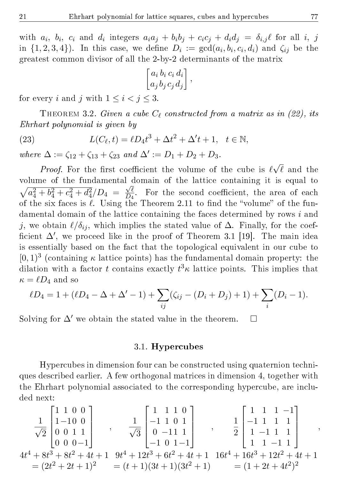with  $a_i$ ,  $b_i$ ,  $c_i$  and  $d_i$  integers  $a_ia_j + b_ib_j + c_ic_j + d_id_j = \delta_{i,j} \ell$  for all  $i, j$ in  $\{1,2,3,4\}$ ). In this case, we define  $D_i := \gcd(a_i,b_i,c_i,d_i)$  and  $\zeta_{ij}$  be the greatest common divisor of all the 2-by-2 determinants of the matrix

$$
\begin{bmatrix} a_i \, b_i \, c_i \, d_i \\ a_j \, b_j \, c_j \, d_j \end{bmatrix},
$$

for every i and j with  $1 \leq i < j \leq 3$ .

THEOREM 3.2. Given a cube  $C_{\ell}$  constructed from a matrix as in (22), its Ehrhart polynomial is given by

(23) 
$$
L(C_{\ell}, t) = \ell D_4 t^3 + \Delta t^2 + \Delta' t + 1, \quad t \in \mathbb{N},
$$

where  $\Delta := \zeta_{12} + \zeta_{13} + \zeta_{23}$  and  $\Delta' := D_1 + D_2 + D_3$ .

*Proof.* For the first coefficient the volume of the cube is  $\ell$ √  $\ell$  and the volume of the fundamental domain of the lattice containing it is equal to  $\sqrt{a_4^2 + b_4^2 + c_4^2 + d_4^2}/D_4 = \frac{\sqrt{\ell}}{D_4}$  $\frac{\sqrt{\ell}}{D_4}$ . For the second coefficient, the area of each of the six faces is  $\ell$ . Using the Theorem 2.11 to find the "volume" of the fundamental domain of the lattice containing the faces determined by rows i and j, we obtain  $\ell/\delta_{ij}$ , which implies the stated value of  $\Delta$ . Finally, for the coefficient  $\Delta'$ , we proceed like in the proof of Theorem 3.1 [19]. The main idea is essentially based on the fact that the topological equivalent in our cube to  $[0, 1)^3$  (containing  $\kappa$  lattice points) has the fundamental domain property: the dilation with a factor  $t$  contains exactly  $t^3\kappa$  lattice points. This implies that  $\kappa = \ell D_4$  and so

$$
\ell D_4 = 1 + (\ell D_4 - \Delta + \Delta' - 1) + \sum_{ij} (\zeta_{ij} - (D_i + D_j) + 1) + \sum_i (D_i - 1).
$$

Solving for  $\Delta'$  we obtain the stated value in the theorem.  $\square$ 

#### 3.1. Hypercubes

Hypercubes in dimension four can be constructed using quaternion techniques described earlier. A few orthogonal matrices in dimension 4, together with the Ehrhart polynomial associated to the corresponding hypercube, are included next:

$$
\frac{1}{\sqrt{2}} \begin{bmatrix} 1 & 1 & 0 & 0 \\ 1 & -10 & 0 & 0 \\ 0 & 0 & 1 & 1 \\ 0 & 0 & 0 & -1 \end{bmatrix}, \frac{1}{\sqrt{3}} \begin{bmatrix} 1 & 1 & 1 & 0 \\ -1 & 1 & 0 & 1 \\ 0 & -11 & 1 & 0 \\ -1 & 0 & 1 & -1 \end{bmatrix}, \frac{1}{2} \begin{bmatrix} 1 & 1 & 1 & -1 \\ -1 & 1 & 1 & 1 \\ 1 & -1 & 1 & 1 \\ 1 & 1 & -1 & 1 \end{bmatrix},
$$
  
\n
$$
4t^4 + 8t^3 + 8t^2 + 4t + 1 \t 9t^4 + 12t^3 + 6t^2 + 4t + 1 \t 16t^4 + 16t^3 + 12t^2 + 4t + 1
$$
  
\n
$$
= (2t^2 + 2t + 1)^2 \t 2(t + 1)(3t + 1)(3t^2 + 1) \t 2(t + 2t^2 + 4t + 1)
$$
  
\n
$$
= (1 + 2t + 4t^2)^2
$$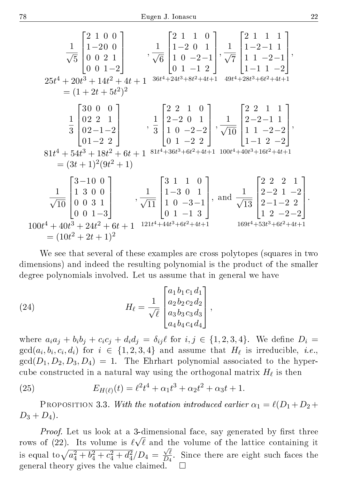$$
\frac{1}{\sqrt{5}} \begin{bmatrix} 2 & 1 & 0 & 0 \\ 1 & -20 & 0 \\ 0 & 0 & 2 & 1 \\ 0 & 0 & 1 & -2 \end{bmatrix}, \frac{1}{\sqrt{6}} \begin{bmatrix} 2 & 1 & 1 & 0 \\ 1 & -2 & 0 & 1 \\ 1 & 0 & -2 & -1 \\ 0 & 1 & -1 & 2 \end{bmatrix}, \frac{1}{\sqrt{7}} \begin{bmatrix} 2 & 1 & 1 & 1 \\ 1 & -2 & -1 & 1 \\ 1 & 1 & -2 & -1 \\ 1 & -1 & 1 & -2 \end{bmatrix},
$$
  
\n
$$
25t^4 + 20t^3 + 14t^2 + 4t + 1 \t 36t^4 + 24t^3 + 8t^2 + 4t + 1 \t 49t^4 + 28t^3 + 6t^2 + 4t + 1
$$
  
\n
$$
= (1 + 2t + 5t^2)^2
$$
  
\n
$$
\frac{1}{3} \begin{bmatrix} 30 & 0 & 0 \\ 0 & 2 & 1 \\ 0 & -2 & 2 \end{bmatrix}, \frac{1}{3} \begin{bmatrix} 2 & 2 & 1 & 0 \\ 2 & -2 & 0 & 1 \\ 1 & 0 & -2 & -2 \\ 0 & 1 & -2 & 2 \end{bmatrix}, \frac{1}{\sqrt{10}} \begin{bmatrix} 2 & 2 & 1 & 1 \\ 2 & -2 & -1 & 1 \\ 1 & 1 & -2 & -2 \\ 1 & -2 & -2 \end{bmatrix},
$$
  
\n
$$
81t^4 + 54t^3 + 18t^2 + 6t + 1 \t 81t^4 + 36t^3 + 6t^2 + 4t + 1 \t 100t^4 + 40t^3 + 16t^2 + 4t + 1
$$
  
\n
$$
= (3t + 1)^2(9t^2 + 1)
$$
  
\n
$$
\frac{1}{\sqrt{10}} \begin{bmatrix} 3 & -10 & 0 \\ 1 & 3 & 0 & 0 \\ 0 & 0 & 3 & 1 \\ 0 & 0 & 1 & -3 \end{bmatrix}, \frac{1}{\sqrt{11}} \begin{bmatrix} 3 & 1 & 1 & 0 \\ 1 & -3 & 0 & 1
$$

We see that several of these examples are cross polytopes (squares in two dimensions) and indeed the resulting polynomial is the product of the smaller degree polynomials involved. Let us assume that in general we have

(24) 
$$
H_{\ell} = \frac{1}{\sqrt{\ell}} \begin{bmatrix} a_1 b_1 c_1 d_1 \\ a_2 b_2 c_2 d_2 \\ a_3 b_3 c_3 d_3 \\ a_4 b_4 c_4 d_4 \end{bmatrix},
$$

where  $a_i a_j + b_i b_j + c_i c_j + d_i d_j = \delta_{ij} \ell$  for  $i, j \in \{1, 2, 3, 4\}$ . We define  $D_i =$  $\gcd(a_i, b_i, c_i, d_i)$  for  $i \in \{1, 2, 3, 4\}$  and assume that  $H_\ell$  is irreducible, i.e.,  $gcd(D_1, D_2, D_3, D_4) = 1$ . The Ehrhart polynomial associated to the hypercube constructed in a natural way using the orthogonal matrix  $H_\ell$  is then

(25) 
$$
E_{H(\ell)}(t) = \ell^2 t^4 + \alpha_1 t^3 + \alpha_2 t^2 + \alpha_3 t + 1.
$$

PROPOSITION 3.3. With the notation introduced earlier  $\alpha_1 = \ell(D_1 + D_2 +$  $D_3 + D_4$ ).

*Proof.* Let us look at a 3-dimensional face, say generated by first three rows of (22). Its volume is  $\ell\surd \ell$  and the volume of the lattice containing it is equal to  $\sqrt{a_4^2 + b_4^2 + c_4^2 + d_4^2}/D_4 =$ √ `  $\frac{\sqrt{\ell}}{D_4}$ . Since there are eight such faces the general theory gives the value claimed.

.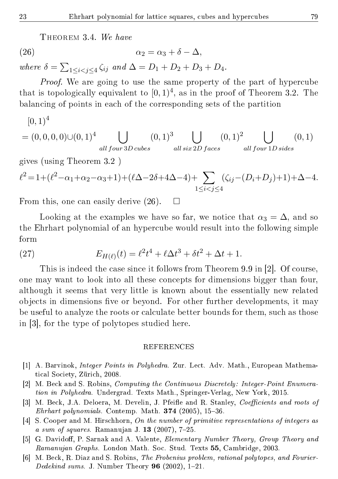THEOREM 3.4. We have

(26) 
$$
\alpha_2 = \alpha_3 + \delta - \Delta,
$$

where  $\delta = \sum_{1 \leq i < j \leq 4} \zeta_{ij}$  and  $\Delta = D_1 + D_2 + D_3 + D_4$ .

Proof. We are going to use the same property of the part of hypercube that is topologically equivalent to  $[0,1)^4$ , as in the proof of Theorem 3.2. The balancing of points in each of the corresponding sets of the partition

$$
[0,1)^{4}
$$
  
= (0,0,0,0)  $\cup$  (0,1)<sup>4</sup>  $\bigcup_{all \, four \, 3D \, cubes} (0,1)^{3} \bigcup_{all \, six \, 2D \, faces} (0,1)^{2} \bigcup_{all \, four \, 1D \, sides} (0,1)$ 

gives (using Theorem 3.2 )

$$
\ell^2 = 1 + (\ell^2 - \alpha_1 + \alpha_2 - \alpha_3 + 1) + (\ell \Delta - 2\delta + 4\Delta - 4) + \sum_{1 \le i < j \le 4} (\zeta_{ij} - (D_i + D_j) + 1) + \Delta - 4.
$$

From this, one can easily derive  $(26)$ .  $\Box$ 

Looking at the examples we have so far, we notice that  $\alpha_3 = \Delta$ , and so the Ehrhart polynomial of an hypercube would result into the following simple form

(27) 
$$
E_{H(\ell)}(t) = \ell^2 t^4 + \ell \Delta t^3 + \delta t^2 + \Delta t + 1.
$$

This is indeed the case since it follows from Theorem 9.9 in [2]. Of course, one may want to look into all these concepts for dimensions bigger than four, although it seems that very little is known about the essentially new related objects in dimensions five or beyond. For other further developments, it may be useful to analyze the roots or calculate better bounds for them, such as those in [3], for the type of polytopes studied here.

#### REFERENCES

- [1] A. Barvinok, Integer Points in Polyhedra. Zur. Lect. Adv. Math., European Mathematical Society, Zürich, 2008.
- [2] M. Beck and S. Robins, Computing the Continuous Discretely: Integer-Point Enumeration in Polyhedra. Undergrad. Texts Math., Springer-Verlag, New York, 2015.
- [3] M. Beck, J.A. Deloera, M. Develin, J. Pfeifle and R. Stanley, Coefficients and roots of Ehrhart polynomials. Contemp. Math.  $374$  (2005), 15-36.
- [4] S. Cooper and M. Hirschhorn, On the number of primitive representations of integers as  $a \ sum \ of \ squares.$  Ramanujan J. 13 (2007), 7-25.
- [5] G. Davidoff, P. Sarnak and A. Valente, *Elementary Number Theory, Group Theory and* Ramanujan Graphs. London Math. Soc. Stud. Texts 55, Cambridge, 2003.
- [6] M. Beck, R. Diaz and S. Robins, The Frobenius problem, rational polytopes, and Fourier-Dedekind sums. J. Number Theory 96 (2002),  $1-21$ .